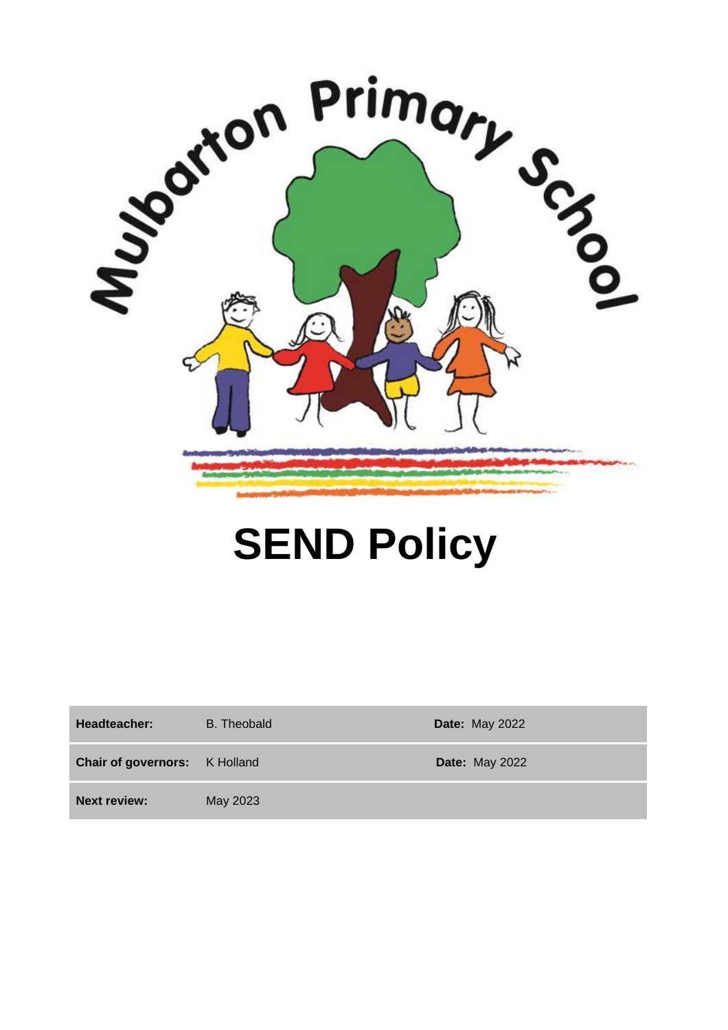

# **SEND Policy**

| Headteacher:                         | B. Theobald | <b>Date: May 2022</b> |
|--------------------------------------|-------------|-----------------------|
| <b>Chair of governors:</b> K Holland |             | <b>Date: May 2022</b> |
| <b>Next review:</b>                  | May 2023    |                       |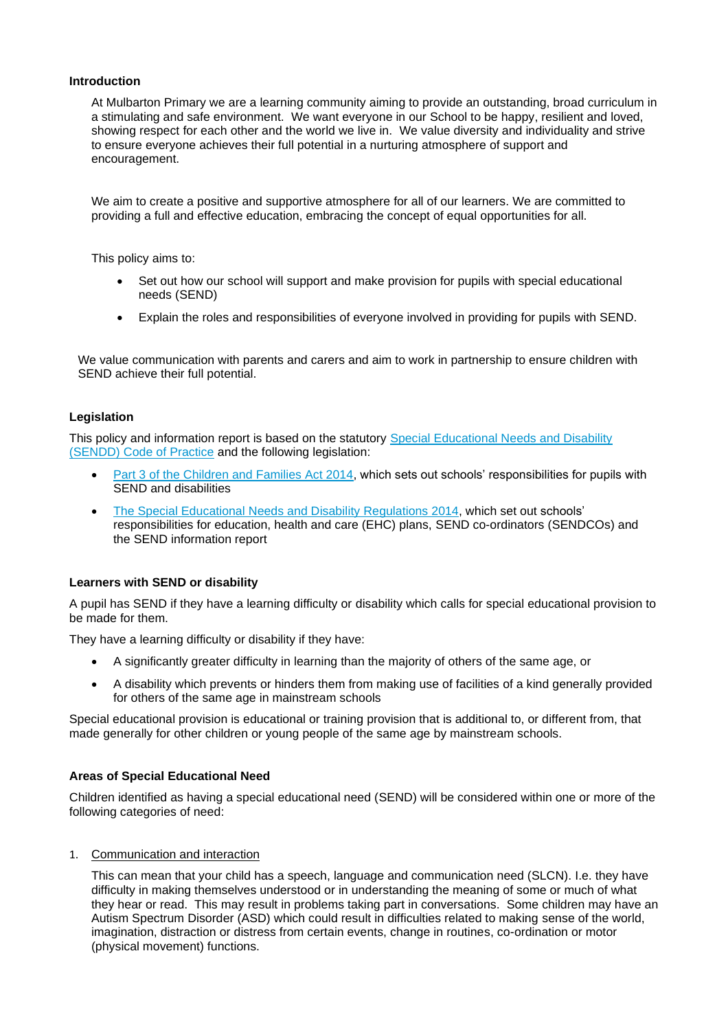#### **Introduction**

At Mulbarton Primary we are a learning community aiming to provide an outstanding, broad curriculum in a stimulating and safe environment. We want everyone in our School to be happy, resilient and loved, showing respect for each other and the world we live in. We value diversity and individuality and strive to ensure everyone achieves their full potential in a nurturing atmosphere of support and encouragement.

We aim to create a positive and supportive atmosphere for all of our learners. We are committed to providing a full and effective education, embracing the concept of equal opportunities for all.

This policy aims to:

- Set out how our school will support and make provision for pupils with special educational needs (SEND)
- Explain the roles and responsibilities of everyone involved in providing for pupils with SEND.

We value communication with parents and carers and aim to work in partnership to ensure children with SEND achieve their full potential.

#### **Legislation**

This policy and information report is based on the statutory [Special Educational Needs and Disability](https://www.gov.uk/government/uploads/system/uploads/attachment_data/file/398815/SEND_Code_of_Practice_January_2015.pdf)  [\(SENDD\) Code of Practice](https://www.gov.uk/government/uploads/system/uploads/attachment_data/file/398815/SEND_Code_of_Practice_January_2015.pdf) and the following legislation:

- [Part 3 of the Children and Families Act 2014,](http://www.legislation.gov.uk/ukpga/2014/6/part/3) which sets out schools' responsibilities for pupils with SEND and disabilities
- [The Special Educational Needs and Disability Regulations 2014,](http://www.legislation.gov.uk/uksi/2014/1530/contents/made) which set out schools' responsibilities for education, health and care (EHC) plans, SEND co-ordinators (SENDCOs) and the SEND information report

## **Learners with SEND or disability**

A pupil has SEND if they have a learning difficulty or disability which calls for special educational provision to be made for them.

They have a learning difficulty or disability if they have:

- A significantly greater difficulty in learning than the majority of others of the same age, or
- A disability which prevents or hinders them from making use of facilities of a kind generally provided for others of the same age in mainstream schools

Special educational provision is educational or training provision that is additional to, or different from, that made generally for other children or young people of the same age by mainstream schools.

## **Areas of Special Educational Need**

Children identified as having a special educational need (SEND) will be considered within one or more of the following categories of need:

1. Communication and interaction

This can mean that your child has a speech, language and communication need (SLCN). I.e. they have difficulty in making themselves understood or in understanding the meaning of some or much of what they hear or read. This may result in problems taking part in conversations. Some children may have an Autism Spectrum Disorder (ASD) which could result in difficulties related to making sense of the world, imagination, distraction or distress from certain events, change in routines, co-ordination or motor (physical movement) functions.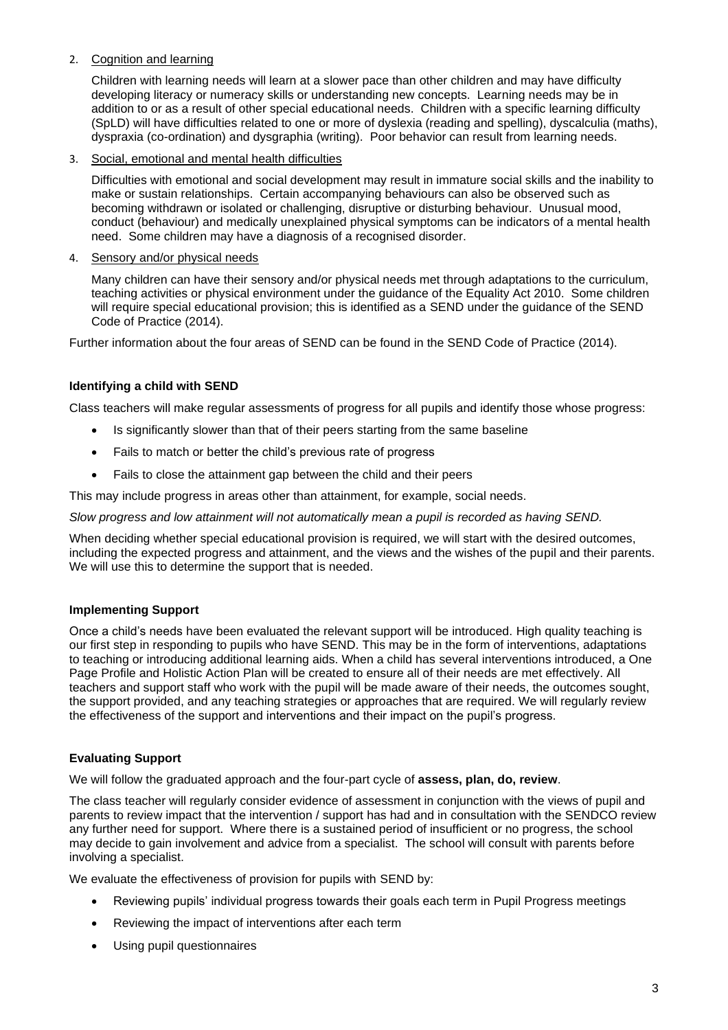# 2. Cognition and learning

Children with learning needs will learn at a slower pace than other children and may have difficulty developing literacy or numeracy skills or understanding new concepts. Learning needs may be in addition to or as a result of other special educational needs. Children with a specific learning difficulty (SpLD) will have difficulties related to one or more of dyslexia (reading and spelling), dyscalculia (maths), dyspraxia (co-ordination) and dysgraphia (writing). Poor behavior can result from learning needs.

3. Social, emotional and mental health difficulties

Difficulties with emotional and social development may result in immature social skills and the inability to make or sustain relationships. Certain accompanying behaviours can also be observed such as becoming withdrawn or isolated or challenging, disruptive or disturbing behaviour. Unusual mood, conduct (behaviour) and medically unexplained physical symptoms can be indicators of a mental health need. Some children may have a diagnosis of a recognised disorder.

#### 4. Sensory and/or physical needs

Many children can have their sensory and/or physical needs met through adaptations to the curriculum, teaching activities or physical environment under the guidance of the Equality Act 2010. Some children will require special educational provision; this is identified as a SEND under the guidance of the SEND Code of Practice (2014).

Further information about the four areas of SEND can be found in the SEND Code of Practice (2014).

# **Identifying a child with SEND**

Class teachers will make regular assessments of progress for all pupils and identify those whose progress:

- Is significantly slower than that of their peers starting from the same baseline
- Fails to match or better the child's previous rate of progress
- Fails to close the attainment gap between the child and their peers

This may include progress in areas other than attainment, for example, social needs.

*Slow progress and low attainment will not automatically mean a pupil is recorded as having SEND.* 

When deciding whether special educational provision is required, we will start with the desired outcomes, including the expected progress and attainment, and the views and the wishes of the pupil and their parents. We will use this to determine the support that is needed.

## **Implementing Support**

Once a child's needs have been evaluated the relevant support will be introduced. High quality teaching is our first step in responding to pupils who have SEND. This may be in the form of interventions, adaptations to teaching or introducing additional learning aids. When a child has several interventions introduced, a One Page Profile and Holistic Action Plan will be created to ensure all of their needs are met effectively. All teachers and support staff who work with the pupil will be made aware of their needs, the outcomes sought, the support provided, and any teaching strategies or approaches that are required. We will regularly review the effectiveness of the support and interventions and their impact on the pupil's progress.

## **Evaluating Support**

We will follow the graduated approach and the four-part cycle of **assess, plan, do, review**.

The class teacher will regularly consider evidence of assessment in conjunction with the views of pupil and parents to review impact that the intervention / support has had and in consultation with the SENDCO review any further need for support. Where there is a sustained period of insufficient or no progress, the school may decide to gain involvement and advice from a specialist. The school will consult with parents before involving a specialist.

We evaluate the effectiveness of provision for pupils with SEND by:

- Reviewing pupils' individual progress towards their goals each term in Pupil Progress meetings
- Reviewing the impact of interventions after each term
- Using pupil questionnaires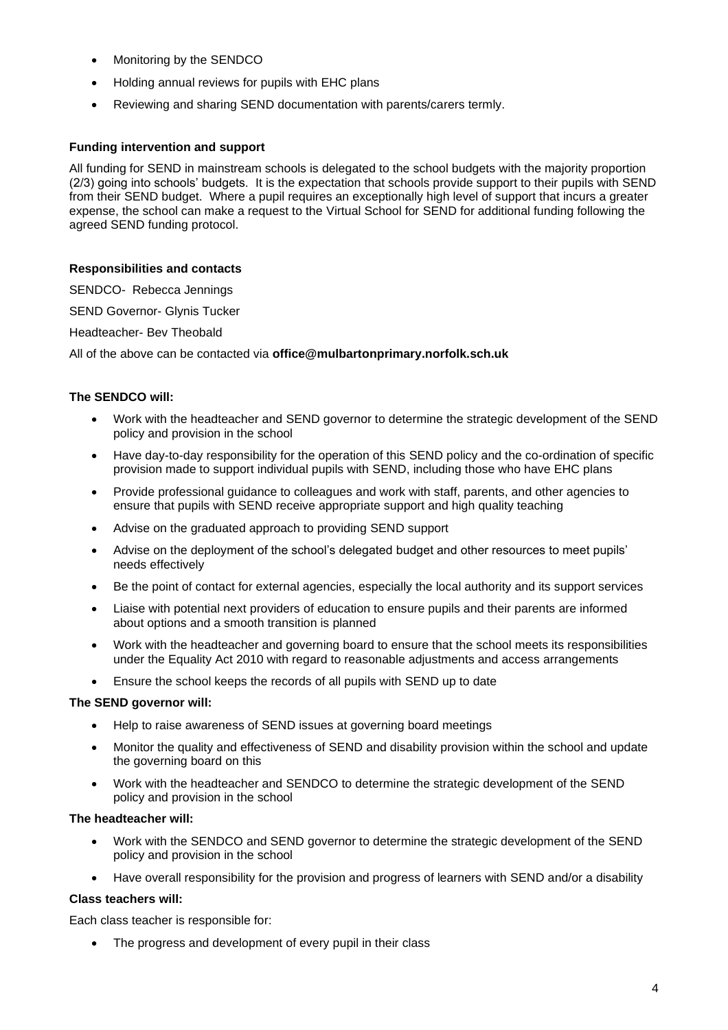- Monitoring by the SENDCO
- Holding annual reviews for pupils with EHC plans
- Reviewing and sharing SEND documentation with parents/carers termly.

## **Funding intervention and support**

All funding for SEND in mainstream schools is delegated to the school budgets with the majority proportion (2/3) going into schools' budgets. It is the expectation that schools provide support to their pupils with SEND from their SEND budget. Where a pupil requires an exceptionally high level of support that incurs a greater expense, the school can make a request to the Virtual School for SEND for additional funding following the agreed SEND funding protocol.

#### **Responsibilities and contacts**

SENDCO- Rebecca Jennings

SEND Governor- Glynis Tucker

Headteacher- Bev Theobald

All of the above can be contacted via **office@mulbartonprimary.norfolk.sch.uk**

#### **The SENDCO will:**

- Work with the headteacher and SEND governor to determine the strategic development of the SEND policy and provision in the school
- Have day-to-day responsibility for the operation of this SEND policy and the co-ordination of specific provision made to support individual pupils with SEND, including those who have EHC plans
- Provide professional guidance to colleagues and work with staff, parents, and other agencies to ensure that pupils with SEND receive appropriate support and high quality teaching
- Advise on the graduated approach to providing SEND support
- Advise on the deployment of the school's delegated budget and other resources to meet pupils' needs effectively
- Be the point of contact for external agencies, especially the local authority and its support services
- Liaise with potential next providers of education to ensure pupils and their parents are informed about options and a smooth transition is planned
- Work with the headteacher and governing board to ensure that the school meets its responsibilities under the Equality Act 2010 with regard to reasonable adjustments and access arrangements
- Ensure the school keeps the records of all pupils with SEND up to date

#### **The SEND governor will:**

- Help to raise awareness of SEND issues at governing board meetings
- Monitor the quality and effectiveness of SEND and disability provision within the school and update the governing board on this
- Work with the headteacher and SENDCO to determine the strategic development of the SEND policy and provision in the school

#### **The headteacher will:**

- Work with the SENDCO and SEND governor to determine the strategic development of the SEND policy and provision in the school
- Have overall responsibility for the provision and progress of learners with SEND and/or a disability

#### **Class teachers will:**

Each class teacher is responsible for:

• The progress and development of every pupil in their class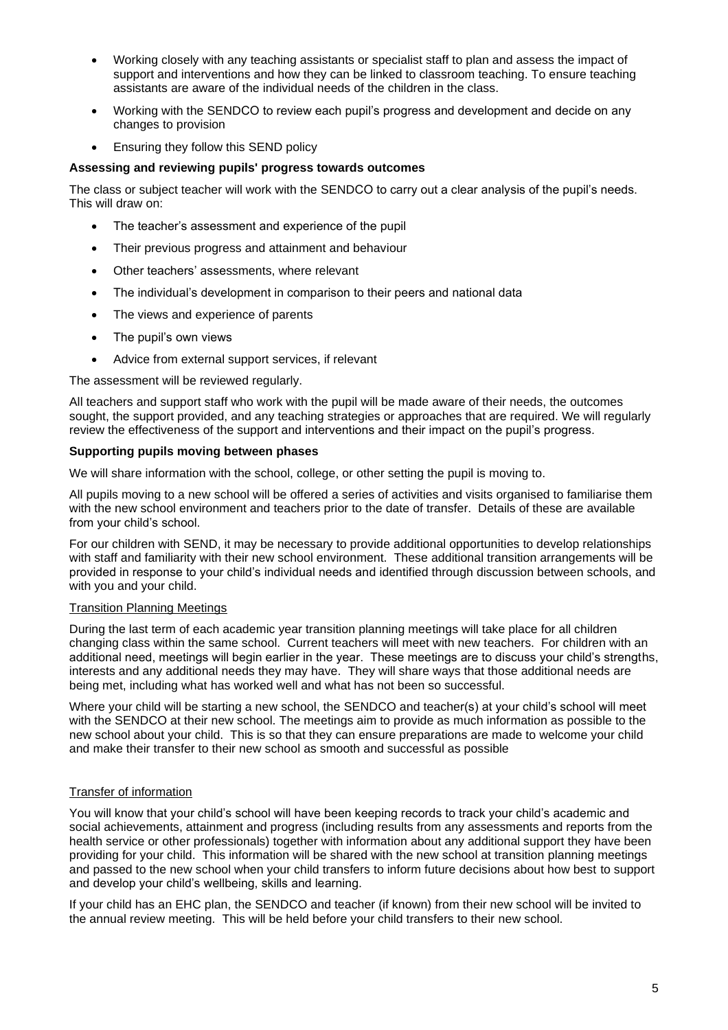- Working closely with any teaching assistants or specialist staff to plan and assess the impact of support and interventions and how they can be linked to classroom teaching. To ensure teaching assistants are aware of the individual needs of the children in the class.
- Working with the SENDCO to review each pupil's progress and development and decide on any changes to provision
- Ensuring they follow this SEND policy

# **Assessing and reviewing pupils' progress towards outcomes**

The class or subject teacher will work with the SENDCO to carry out a clear analysis of the pupil's needs. This will draw on:

- The teacher's assessment and experience of the pupil
- Their previous progress and attainment and behaviour
- Other teachers' assessments, where relevant
- The individual's development in comparison to their peers and national data
- The views and experience of parents
- The pupil's own views
- Advice from external support services, if relevant

The assessment will be reviewed regularly.

All teachers and support staff who work with the pupil will be made aware of their needs, the outcomes sought, the support provided, and any teaching strategies or approaches that are required. We will regularly review the effectiveness of the support and interventions and their impact on the pupil's progress.

## **Supporting pupils moving between phases**

We will share information with the school, college, or other setting the pupil is moving to.

All pupils moving to a new school will be offered a series of activities and visits organised to familiarise them with the new school environment and teachers prior to the date of transfer. Details of these are available from your child's school.

For our children with SEND, it may be necessary to provide additional opportunities to develop relationships with staff and familiarity with their new school environment. These additional transition arrangements will be provided in response to your child's individual needs and identified through discussion between schools, and with you and your child.

## Transition Planning Meetings

During the last term of each academic year transition planning meetings will take place for all children changing class within the same school. Current teachers will meet with new teachers. For children with an additional need, meetings will begin earlier in the year. These meetings are to discuss your child's strengths, interests and any additional needs they may have. They will share ways that those additional needs are being met, including what has worked well and what has not been so successful.

Where your child will be starting a new school, the SENDCO and teacher(s) at your child's school will meet with the SENDCO at their new school. The meetings aim to provide as much information as possible to the new school about your child. This is so that they can ensure preparations are made to welcome your child and make their transfer to their new school as smooth and successful as possible

# Transfer of information

You will know that your child's school will have been keeping records to track your child's academic and social achievements, attainment and progress (including results from any assessments and reports from the health service or other professionals) together with information about any additional support they have been providing for your child. This information will be shared with the new school at transition planning meetings and passed to the new school when your child transfers to inform future decisions about how best to support and develop your child's wellbeing, skills and learning.

If your child has an EHC plan, the SENDCO and teacher (if known) from their new school will be invited to the annual review meeting. This will be held before your child transfers to their new school.